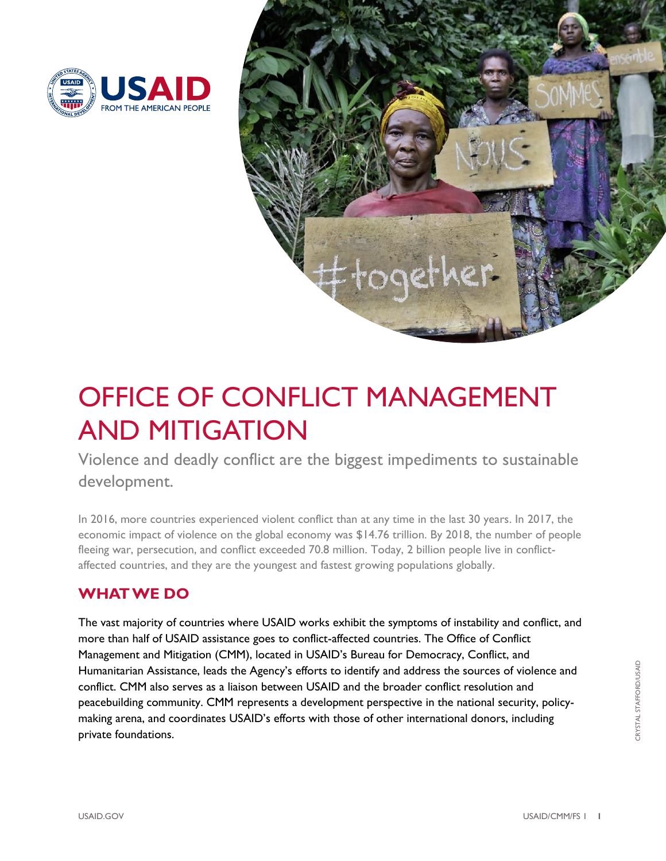



# OFFICE OF CONFLICT MANAGEMENT AND MITIGATION

development. <mark>development.</mark><br>In 2016, more countries experienced violent conflict than at any time in the last 30 years. In 2017, the Violence and deadly conflict are the biggest impediments to sustainable

 economic impact of violence on the global economy was \$14.76 trillion. By 2018, the number of people fleeing war, persecution, and conflict exceeded 70.8 million. Today, 2 billion people live in conflict-affected countries, and they are the youngest and fastest growing populations globally.

## **WHAT WE DO**

 The vast majority of countries where USAID works exhibit the symptoms of instability and conflict, and more than half of USAID assistance goes to conflict-affected countries. The Office of Conflict Management and Mitigation (CMM), located in USAID's Bureau for Democracy, Conflict, and Humanitarian Assistance, leads the Agency's efforts to identify and address the sources of violence and conflict. CMM also serves as a liaison between USAID and the broader conflict resolution and peacebuilding community. CMM represents a development perspective in the national security, policy- making arena, and coordinates USAID's efforts with those of other international donors, including private foundations.